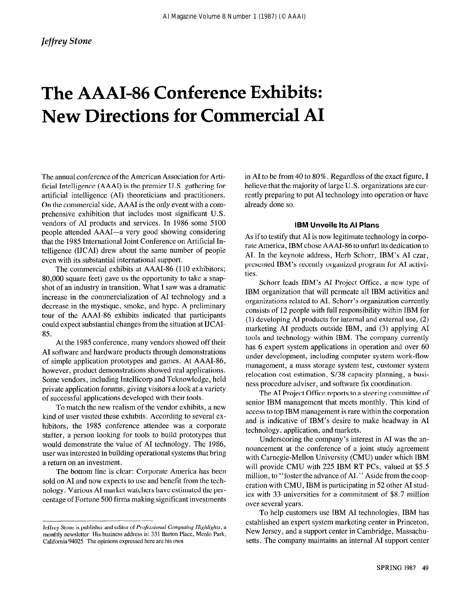# The AAAI-86 Conference Exhibits: New Directions for Commercial AI

The annual conference of the American Association for Artificial Intelligence (AAAI) is the premier U.S. gathering for artificial intelligence (AI) theoreticians and practitioners. On the commercial side, AAAI is the only event with a comprehensive exhibition that includes most significant U.S. vendors of AI products and services. In 1986 some 5100 people attended AAAI-a very good showing considering that the 1985 International Joint Conference on Artificial Intelligence (IJCAI) drew about the same number of people even with its substantial international support.

The commercial exhibits at AAAI-86 (110 exhibitors; 80,000 square feet) gave us the opportunity to take a snapshot of an industry in transition. What I saw was a dramatic increase in the commercialization of AI technology and a decrease in the mystique, smoke, and hype. A preliminary tour of the AAAI-86 exhibits indicated that participants could expect substantial changes from the situation at IJCAI-85.

At the 1985 conference, many vendors showed off their AI software and hardware products through demonstrations of simple application prototypes and games. At AAAI-86, however, product demonstrations showed real applications. Some vendors, including Intellicorp and Teknowledge, held private application forums, giving visitors a look at a variety of successful applications developed with their tools.

To match the new realism of the vendor exhibits, a new kind of user visited these exhibits. According to several exhibitors, the 1985 conference attendee was a corporate staffer, a person looking for tools to build prototypes that would demonstrate the value of AI technology. The 1986, user was interested in building operational systems that bring a return on an investment.

The bottom line is clear: Corporate America has been sold on AI and now expects to use and benefit from the technology. Various AI market watchers have estimated the percentage of Fortune 500 firms making significant investments

in AI to be from 40 to 80%. Regardless of the exact figure, I believe that the majority of large U.S. organizations are currently preparing to put AI technology into operation or have already done so.

#### IBM Unveils Its Al Plans

As if to testify that AI is now legitimate technology in corporate America, IBM chose AAAI-86 to unfurl its dedication to AI. In the keynote address, Herb Schorr, IBM's AI czar, presented IBM's recently organized program for AI activities.

Schorr leads IBM's AI Project Office, a new type of IBM organization that will permeate all IBM activities and organizations related to AI. Schorr's organization currently consists of 12 people with full responsibility within IBM for (1) developing AI products for internal and external use, (2) marketing AI products outside IBM, and (3) applying AI tools and technology within IBM. The company currently has 6 expert system applications in operation and over 60 under development, including computer system work-flow management, a mass storage system test, customer system relocation cost estimation, S/38 capacity planning, a business procedure adviser, and software fix coordination.

The AI Project Office reports to a steering committee of senior IBM management that meets monthly. This kind of access to top IBM management is rare within the corporation and is indicative of IBM's desire to make headway in AI technology, application, and markets.

Underscoring the company's interest in AI was the announcement at the conference of a joint study agreement with Carnegie-Mellon University (CMU) under which IBM will provide CMU with 225 IBM RT PCs, valued at \$5.5 million, to "foster the advance of AI." Aside from the cooperation with CMU, IBM is participating in 52 other AI studies with 33 universities for a commitment of \$8.7 million over several years.

To help customers use IBM AI technologies, IBM has established an expert system marketing center in Princeton, New Jersey, and a support center in Cambridge, Massachusetts. The company maintains an internal AI support center

Jeffrey Stone is publisher and editor of  $P$ rofessional Computing Highlights, a monthly newsletter His business address is: 331 Barton Place, Menlo Park, California 94025 The opinions expressed here are his own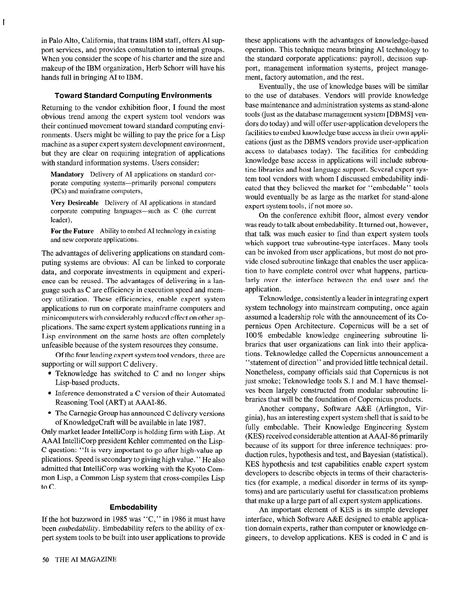in Palo Alto, California, that trains IBM staff, offers AI support services, and provides consultation to internal groups. When you consider the scope of his charter and the size and makeup of the IBM organization, Herb Schorr will have his hands full in bringing AI to IBM.

#### Toward Standard Computing Environments

Returning to the vendor exhibition floor, I found the most obvious trend among the expert system tool vendors was their continued movement toward standard computing environments. Users might be willing to pay the price for a Lisp machine as a super expert system development environment, but they are clear on requiring integration of applications with standard information systems. Users consider:

Mandatory Delivery of AI applications on standard corporate computing systems-primarily personal computers (PCs) and mainframe computers,

Very Desireable Delivery of AI applications in standard corporate computing languages-such as C (the current leader),

For the Future Ability to embed AI technology in existing and new corporate applications.

The advantages of delivering applications on standard computing systems are obvious: AI can be linked to corporate data, and corporate investments in equipment and experience can be reused. The advantages of delivering in a language such as C are efficiency in execution speed and memory utilization. These efficiencies, enable expert system applications to run on corporate mainframe computers and minicomputers with considerably reduced effect on other applications. The same expert system applications running in a Lisp environment on the same hosts are often completely unfeasible because of the system resources they consume.

Of the four leading expert system tool vendors, three are supporting or will support C delivery.

- $\bullet$  Teknowledge has switched to C and no longer ships Lisp-based products.
- $\bullet$  Inference demonstrated a C version of their Automated Reasoning Tool (ART) at AAAI-86.
- The Carnegie Group has announced C delivery versions of KnowledgeCraft will be available in late 1987.

Only market leader IntelliCorp is holding firm with Lisp. At AAAI IntelliCorp president Kehler commented on the Lisp-C question: "It is very important to go after high-value applications. Speed is secondary to giving high value. " He also admitted that IntelliCorp was working with the Kyoto Common Lisp, a Common Lisp system that cross-compiles Lisp to C.

#### **Embedability**

If the hot buzzword in 1985 was "C," in 1986 it must have been *embedability*. Embedability refers to the ability of expert system tools to be built into user applications to provide these applications with the advantages of knowledge-based operation. This technique means bringing AI technology to the standard corporate applications: payroll, decision support, management information systems, project management, factory automation, and the rest.

Eventually, the use of knowledge bases will be similar to the use of databases. Vendors will provide knowledge base maintenance and administration systems as stand-alone tools (just as the database management system [DBMS] vendors do today) and will offer user-application developers the facilities to embed knowledge base access in their own applications (just as the DBMS vendors provide user-application access to databases today). The facilities for embedding knowledge base access in applications will include subroutine libraries and host language support. Several expert system tool vendors with whom I discussed embedability indicated that they believed the market for "embedable" tools would eventually be as large as the market for stand-alone expert system tools, if not more so.

On the conference exhibit floor, almost every vendor was ready to talk about embedability. It turned out, however, that talk was much easier to find than expert system tools which support true subroutine-type interfaces. Many tools can be invoked from user applications, but most do not provide closed subroutine linkage that enables the user application to have complete control over what happens, particularly over the interface between the end user and the application.

Teknowledge, consistently a leader in integrating expert system technology into mainstream computing, once again assumed a leadership role with the announcement of its Copernicus Open Architecture. Copernicus will be a set of 100 % embedable knowledge engineering subroutine libraries that user organizations can link into their applications. Teknowledge called the Copernicus announcement a "statement of direction" and provided little technical detail. Nonetheless, company officials said that Copernicus is not just smoke; Teknowledge tools S.1 and M.1 have themselves been largely constructed from modular subroutine libraries that will be the foundation of Copernicus products.

Another company, Software A&E (Arlington, Virginia), has an interesting expert system shell that is said to be fully embedable. Their Knowledge Engineering System (KES) received considerable attention at AAAI-86 primarily because of its support for three inference techniques: production rules, hypothesis and test, and Bayesian (statistical). KES hypothesis and test capabilities enable expert system developers to describe objects in terms of their characteristics (for example, a medical disorder in terms of its symptoms) and are particularly useful for classification problems that make up a large part of all expert system applications.

An important element of KES is its simple developer interface, which Software A&E designed to enable application domain experts, rather than computer or knowledge engineers, to develop applications. KES is coded in C and is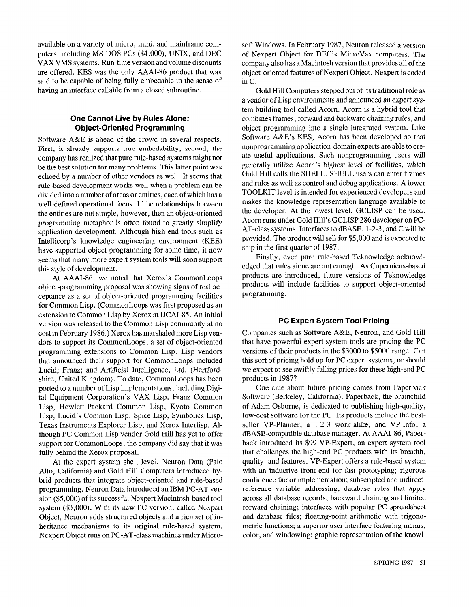available on a variety of micro, mini, and mainframe computers, including MS-DOS PCs (\$4,000), UNIX, and DEC VAX VMS systems. Run-time version and volume discounts are offered. KES was the only AAAI-86 product that was said to be capable of being fully embedable in the sense of having an interface callable from a closed subroutine.

# One Cannot Live by Rules Alone: Object-Oriented Programming

Software A&E is ahead of the crowd in several respects. First, it already supports true embedability; second, the company has realized that pure rule-based systems might not be the best solution for many problems. This latter point was echoed by a number of other vendors as well. It seems that rule-based development works well when a problem can be divided into a number of areas or entities, each of which has a well-defined operational focus. If the relationships between the entities are not simple, however, then an object-oriented programming metaphor is often found to greatly simplify application development. Although high-end tools such as Intellicorp's knowledge engineering environment (KEE) have supported object programming for some time, it now seems that many more expert system tools will soon support this style of development.

At AAAI-86, we noted that Xerox's CommonLoops object-programming proposal was showing signs of real acceptance as a set of object-oriented programming facilities for Common Lisp. (CommonLoops was first proposed as an extension to Common Lisp by Xerox at HCAI-85. An initial version was released to the Common Lisp community at no cost in February 1986.) Xerox has marshaled more Lisp vendors to support its CommonLoops, a set of object-oriented programming extensions to Common Lisp. Lisp vendors that announced their support for CommonLoops included Lucid; Franz; and Artificial Intelligence, Ltd. (Hertfordshire, United Kingdom). To date, CommonLoops has been ported to a number of Lisp implementations, including Digital Equipment Corporation's VAX Lisp, Franz Common Lisp, Hewlett-Packard Common Lisp, Kyoto Common Lisp, Lucid's Common Lisp, Spice Lisp, Symbolics Lisp, Texas Instruments Explorer Lisp, and Xerox Interlisp. Although PC Common Lisp vendor Gold Hill has yet to offer support for CommonLoops, the company did say that it was fully behind the Xerox proposal.

At the expert system shell level, Neuron Data (Palo Alto, California) and Gold Hill Computers introduced hybrid products that integrate object-oriented and rule-based programming. Neuron Data introduced an IBM PC-AT version (\$5,000) of its successful Nexpert Macintosh-based tool system (\$3,000). With its new PC version, called Nexpert Object, Neuron adds structured objects and a rich set of inheritance mechanisms to its original rule-based system. Nexpert Object runs on PC-AT-class machines under Microsoft Windows. In February 1987, Neuron released a version of Nexpert Object for DEC's MicroVax computers. The company also has a Macintosh version that provides all of the object-oriented features of Nexpert Object. Nexpert is coded in C.

Gold Hill Computers stepped out of its traditional role as a vendor of Lisp environments and announced an expert system building tool called Acorn. Acorn is a hybrid tool that combines frames, forward and backward chaining rules, and object programming into a single integrated system. Like Software A&E's KES, Acorn has been developed so that nonprogramming application-domain experts are able to create useful applications. Such nonprogramming users will generally utilize Acorn's highest level of facilities, which Gold Hill calls the SHELL. SHELL users can enter frames and rules as well as control and debug applications. A lower TOOLKIT level is intended for experienced developers and makes the knowledge representation language available to the developer. At the lowest level, GCLISP can be used. Acorn runs under Gold Hill's GCLISP 286 developer on PC-AT-class systems. Interfaces to dBASE, l-2-3, and C will be provided. The product will sell for \$5,000 and is expected to ship in the first quarter of 1987.

Finally, even pure rule-based Teknowledge acknowledged that rules alone are not enough. As Copernicus-based products are introduced, future versions of Teknowledge products will include facilities to support object-oriented programming.

#### PC Expert System Tool Pricing

Companies such as Software A&E, Neuron, and Gold Hill that have powerful expert system tools are pricing the PC versions of their products in the \$3000 to \$5000 range. Can this sort of pricing hold up for PC expert systems, or should we expect to see swiftly falling prices for these high-end PC products in 1987?

One clue about future pricing comes from Paperback Software (Berkeley, California). Paperback, the brainchild of Adam Osborne, is dedicated to publishing high-quality, low-cost software for the PC. Its products include the bestseller VP-Planner, a l-2-3 work-alike, and VP-Info, a dBASE-compatible database manager. At AAAI-86, Paperback introduced its \$99 VP-Expert, an expert system tool that challenges the high-end PC products with its breadth, quality, and features. VP-Expert offers a rule-based system with an inductive front end for fast prototyping; rigorous confidence factor implementation; subscripted and indirectreference variable addressing; database rules that apply across all database records; backward chaining and limited forward chaining; interfaces with popular PC spreadsheet and database files; floating-point arithmetic with trigonometric functions; a superior user interface featuring menus, color, and windowing; graphic representation of the knowl-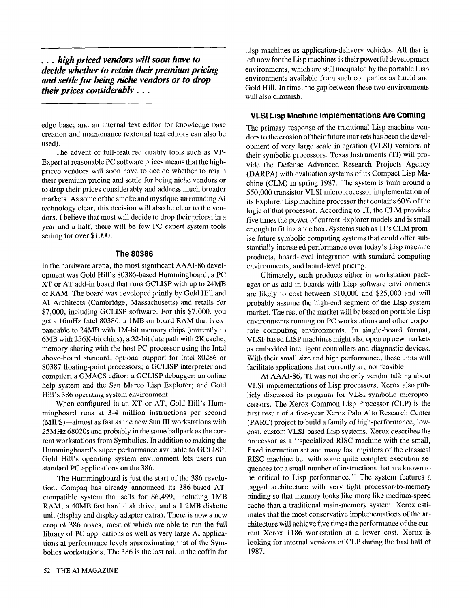... high priced vendors will soon have to decide whether to retain their premium pricing and settle for being niche vendors or to drop their prices considerably . . .

edge base; and an internal text editor for knowledge base creation and maintenance (external text editors can also be used).

The advent of full-featured quality tools such as VP-Expert at reasonable PC software prices means that the highpriced vendors will soon have to decide whether to retain their premium pricing and settle for being niche vendors or to drop their prices considerably and address much broader markets. As some of the smoke and mystique surrounding Al technology clear, this decision will also be clear to the vendors. 1 believe that most will decide to drop their prices; in a year and a half, there will be few PC expert system tools selling for over \$1000.

### **The 80386**

In the hardware arena, the most significant AAAl-86 development was Gold Hill's 80386-based Hummingboard, a PC XT or AT add-in board that runs GCLISP with up to 24MB of RAM. The board was developed jointly by Gold Hill and Al Architects (Cambridge, Massachusetts) and retails for \$7,000, including GCLISP software. For this \$7,000, you get a 16mHz Intel 80386; a 1MB on-board RAM that is expandable to 24MB with lM-bit memory chips (currently to 6MB with 256K-bit chips); a 32-bit data path with 2K cache; memory sharing with the host PC processor using the Intel above-board standard; optional support for Intel 80286 or 80387 floating-point processors; a GCLISP interpreter and compiler; a GMACS editor; a GCLISP debugger; an online help system and the San Marco Lisp Explorer; and Gold Hill's 386 operating system environment.

When configured in an XT or AT, Gold Hill's Hummingboard runs at 3-4 million instructions per second (MIPS)-almost as fast as the new Sun III workstations with 25MHz 68020s and probably in the same ballpark as the current workstations from Symbolics. In addition to making the Hummingboard's super performance available to GCLISP, Gold Hill's operating system environment lets users run standard PC applications on the 386.

The Hummingboard is just the start of the 386 revolution. Compaq has already announced its 386-based ATcompatible system that sells for \$6,499, including 1MB RAM, a 40MB fast hard disk drive, and a 1.2MB diskette unit (display and display adapter extra). There is now a new crop of 386 boxes, most of which are able to run the full library of PC applications as well as very large Al applications at performance levels approximating that of the Symbolics workstations. The 386 is the last nail in the coffin for Lisp machines as application-delivery vehicles. All that is left now for the Lisp machines is their powerful development environments, which are still unequaled by the portable Lisp environments available from such companies as Lucid and Gold Hill. In time, the gap between these two environments will also diminish.

# VLSI Lisp Machine Implementations Are Coming

The primary response of the traditional Lisp machine vendors to the erosion of their future markets has been the development of very large scale integration (VLSI) versions of their symbolic processors. Texas Instruments (Tl) will provide the Defense Advanced Research Projects Agency (DARPA) with evaluation systems of its Compact Lisp Machine (CLM) in spring 1987. The system is built around a 550,000 transistor VLSI microprocessor implementation of its Explorer Lisp machine processor that contains 60 % of the logic of that processor. According to Tl, the CLM provides five times the power of current Explorer models and is small enough to fit in a shoe box. Systems such as Tl's CLM promise future symbolic computing systems that could offer substantially increased performance over today's Lisp machine products, board-level integration with standard computing environments, and board-level pricing.

Ultimately, such products either in workstation packages or as add-in boards with Lisp software environments are likely to cost between \$10,000 and \$25,000 and will probably assume the high-end segment of the Lisp system market. The rest of the market will be based on portable Lisp environments running on PC workstations and other corporate computing environments. In single-board format, VLSI-based LISP machines might also open up new markets as embedded intelligent controllers and diagnostic devices. With their small size and high performance, these units will facilitate applications that currently are not feasible.

At AAAI-86, Tl was not the only vendor talking about VLSI implementations of Lisp processors. Xerox also publicly discussed its program for VLSI symbolic microprocessors. The Xerox Common Lisp Processor (CLP) is the first result of a five-year Xerox Palo Alto Research Center (PARC) project to build a family of high-performance, lowcost, custom VLSI-based Lisp systems. Xerox describes the processor as a "specialized RISC machine with the small, fixed instruction set and many fast registers of the classical RISC machine but with some quite complex execution sequences for a small number of instructions that are known to be critical to Lisp performance." The system features a tagged architecture with very tight processor-to-memory binding so that memory looks like more like medium-speed cache than a traditional main-memory system. Xerox estimates that the most conservative implementations of the architecture will achieve five times the performance of the current Xerox 1186 workstation at a lower cost. Xerox is looking for internal versions of CLP during the first half of 1987.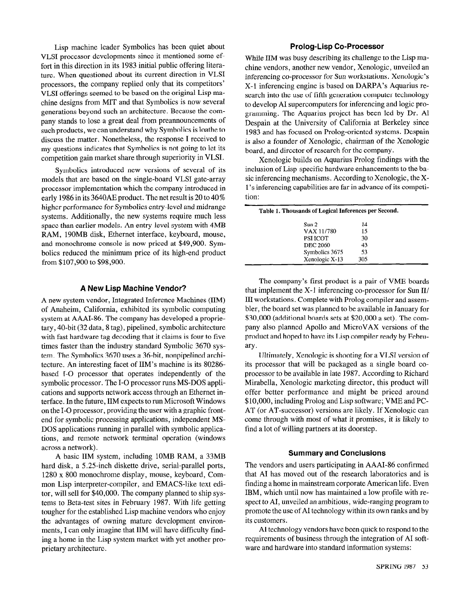Lisp machine leader Symbolics has been quiet about VLSI processor developments since it mentioned some effort in this direction in its 1983 initial public offering literature. When questioned about its current direction in VLSI processors, the company replied only that its competitors' VLSI offerings seemed to be based on the original Lisp machine designs from MIT and that Symbolics is now several generations beyond such an architecture. Because the company stands to lose a great deal from preannouncements of such products, we can understand why Symbolics is loathe to discuss the matter. Nonetheless, the response I received to my questions indicates that Symbolics is not going to let its competition gain market share through superiority in VLSI.

Symbolics introduced new versions of several of its models that are based on the single-board VLSI gate-array processor implementation which the company introduced in early 1986 in its 3640AE product. The net result is 20 to 40 % higher performance for Symbolics entry-level and midrange systems. Additionally, the new systems require much less space than earlier models. An entry-level system with 4MB RAM, 190MB disk, Ethernet interface, keyboard, mouse, and monochrome console is now priced at \$49,900. Symbolics reduced the minimum price of its high-end product from \$107,900 to \$98,900.

#### A New Lisp Machine Vendor?

A new system vendor, Integrated Inference Machines (IIM) of Anaheim, California, exhibited its symbolic computing system at AAAI-86. The company has developed a proprietary, 40-bit (32 data, 8 tag), pipelined, symbolic architecture with fast hardware tag decoding that it claims is four to five times faster than the industry standard Symbolic 3670 system. The Symbolics 3670 uses a 36-bit, nonpipelined architecture. An interesting facet of IIM's machine is its 80286 based I-O processor that operates independently of the symbolic processor. The I-O processor runs MS-DOS applications and supports network access through an Ethernet interface. In the future, IIM expects to run Microsoft Windows on the I-O processor, providing the user with a graphic frontend for symbolic processing applications, independent MS-DOS applications running in parallel with symbolic applications, and remote network terminal operation (windows across a network).

A basic IIM system, including 10MB RAM, a 33MB hard disk, a 5.25-inch diskette drive, serial-parallel ports, 1280 x 800 monochrome display, mouse, keyboard, Common Lisp interpreter-compiler, and EMACS-like text editor, will sell for \$40,000. The company planned to ship systems to Beta-test sites in February 1987. With life getting tougher for the established Lisp machine vendors who enjoy the advantages of owning mature development environments, I can only imagine that IIM will have difficulty finding a home in the Lisp system market with yet another proprietary architecture.

## Prolog-Lisp Co-Processor

While IIM was busy describing its challenge to the Lisp machine vendors, another new vendor, Xenologic , unveiled an inferencing co-processor for Sun workstations. Xenologic's X-l inferencing engine is based on DARPA's Aquarius research into the use of fifth generation computer technology to develop AI supercomputers for inferencing and logic programming. The Aquarius project has been led by Dr. Al Despain at the University of California at Berkeley since 1983 and has focused on Prolog-oriented systems. Despain is also a founder of Xenologic, chairman of the Xenologic board, and director of research for the company.

Xenologic builds on Aquarius Prolog findings with the inclusion of Lisp-specific hardware enhancements to the basic inferencing mechanisms. According to Xenologic, the Xl's inferencing capabilities are far in advance of its competition:

| Table 1. Thousands of Logical Inferences per Second. |     |  |
|------------------------------------------------------|-----|--|
| Sun 2                                                | 14  |  |
| VAX 11/780                                           | 15  |  |
| <b>PSI ICOT</b>                                      | 30  |  |
| <b>DEC 2060</b>                                      | 43  |  |
| Symbolics 3675                                       | 53  |  |
| Xenologic X-13                                       | 305 |  |

The company's first product is a pair of VME boards that implement the  $X-1$  inferencing co-processor for Sun II/ III workstations. Complete with Prolog compiler and assembler, the board set was planned to be available in January for \$30,000 (additional boards sets at \$20,000 a set). The company also planned Apollo and MicroVAX versions of the product and hoped to have its Lisp compiler ready by February.

Ultimately, Xenologic is shooting for a VLSI version of its processor that will be packaged as a single board coprocessor to be available in late 1987. According to Richard Mirabella, Xenologic marketing director, this product will offer better performance and might be priced around \$10,000, including Prolog and Lisp software; VME and PC-AT (or AT-successor) versions are likely. If Xenologic can come through with most of what it promises, it is likely to find a lot of willing partners at its doorstep.

### Summary and Conclusions

The vendors and users participating in AAAI-86 confirmed that AI has moved out of the research laboratories and is finding a home in mainstream corporate American life. Even IBM, which until now has maintained a low profile with respect to AI, unveiled an ambitious, wide-ranging program to promote the use of AI technology within its own ranks and by its customers.

AI technology vendors have been quick to respond to the requirements of business through the integration of AI software and hardware into standard information systems: